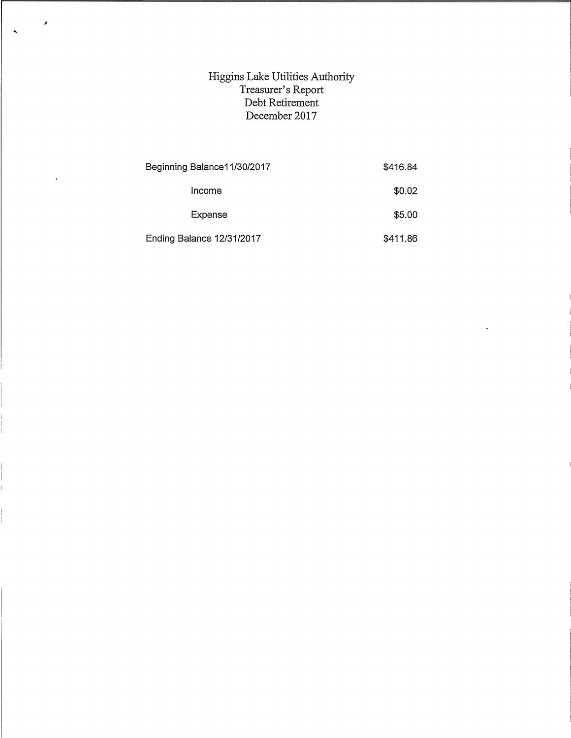## Higgins Lake Utilities Authority Treasurer's Report Debt Retirement December 2017

Ý

 $\ddot{\phantom{0}}$ 

 $\mathcal{L}_\mathrm{c}$ 

| Beginning Balance 11/30/2017 | \$416.84 |
|------------------------------|----------|
| Income                       | \$0.02   |
| Expense                      | \$5.00   |
| Ending Balance 12/31/2017    | \$411.86 |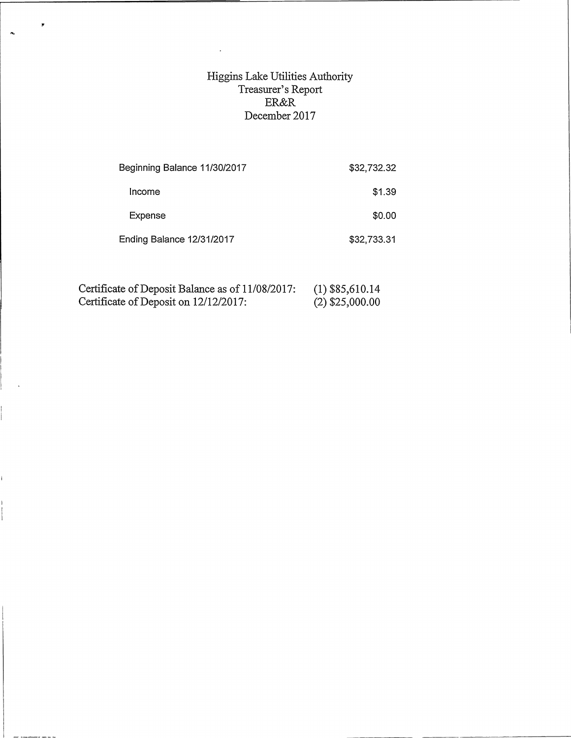## Higgins Lake Utilities Authority Treasurer's Report ER&R December 2017

| \$32,732.32 |
|-------------|
| \$1.39      |
| \$0.00      |
| \$32,733.31 |
|             |

| Certificate of Deposit Balance as of 11/08/2017: | $(1)$ \$85,610.14 |  |
|--------------------------------------------------|-------------------|--|
| Certificate of Deposit on 12/12/2017:            | $(2)$ \$25,000.00 |  |

 $\mathcal{A}^{\mathcal{A}}$ 

 $\ddot{\phantom{1}}$ 

 $\hat{\mathbf{A}}$ 

Ĺ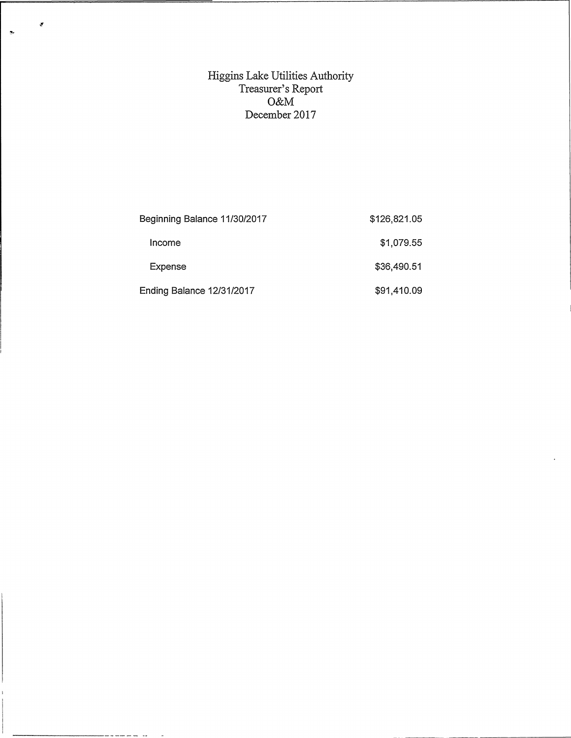## Higgins Lake Utilities Authority Treasurer's Report O&M December 2017

 $\mathcal{S}$ 

--------------

 $\ddot{\psi}$ 

| Beginning Balance 11/30/2017 | \$126,821.05 |
|------------------------------|--------------|
| Income                       | \$1,079.55   |
| Expense                      | \$36,490.51  |
| Ending Balance 12/31/2017    | \$91,410.09  |